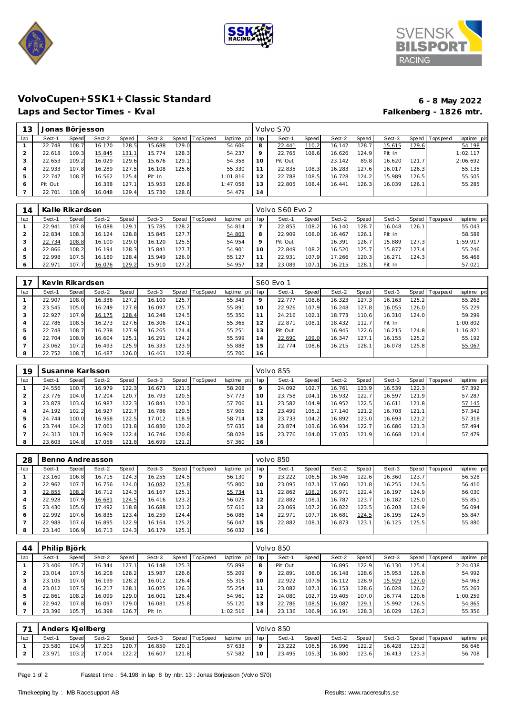





# **VolvoCupen+SSK1+Classic Standard 6 - 8 May 2022**

## Laps and Sector Times - Kval

| 13  | Jonas Börjesson |       |        |       |        |       |                  |             |     | Volvo S70 |               |        |       |        |       |           |             |
|-----|-----------------|-------|--------|-------|--------|-------|------------------|-------------|-----|-----------|---------------|--------|-------|--------|-------|-----------|-------------|
| lap | Sect-1          | Speed | Sect-2 | Speed | Sect-3 |       | Speed   TopSpeed | laptime pit | lap | Sect-1    | <b>Speed</b>  | Sect-2 | Speed | Sect-3 | Speed | Tops peed | laptime pit |
|     | 22.748          | 108.7 | 16.170 | 128.5 | 15.688 | 129.0 |                  | 54.606      | 8   | 22.441    | <u> 110.2</u> | 16.142 | 128.7 | 15.615 | 129.6 |           | 54.198      |
| 2   | 22.618          | 109.3 | 15.845 | 131.1 | 15.774 | 128.3 |                  | 54.237      | 9   | 22.765    | 108.6         | 16.626 | 124.9 | Pit In |       |           | 1:02.117    |
| 3   | 22.653          | 109.2 | 16.029 | 129.6 | 15.676 | 129.1 |                  | 54.358      | 10  | Pit Out   |               | 23.142 | 89.8  | 16.620 | 121.7 |           | 2:06.692    |
|     | 22.933          | 107.8 | 16.289 | 127.5 | 16.108 | 125.6 |                  | 55.330      |     | 22.835    | 108.31        | 16.283 | 127.6 | 16.017 | 126.3 |           | 55.135      |
| ь   | 22.747          | 108.7 | 16.562 | 125.4 | Pit In |       |                  | 1:01.816    | 12  | 22.788    | 108.5         | 16.728 | 124.2 | 15.989 | 126.5 |           | 55.505      |
| 6   | Pit Out         |       | 16.338 | 127.1 | 15.953 | 126.8 |                  | 1:47.058    | 13  | 22.805    | 108.4         | 16.441 | 126.3 | 16.039 | 126.1 |           | 55.285      |
|     | 22.701          | 108.9 | 16.048 | 129.4 | 15.730 | 28.6  |                  | 54.479      | 14  |           |               |        |       |        |       |           |             |

| 14      | Kalle Rikardsen |       |        |              |        |       |                 |             |         | Volvo S60 Evo 2 |       |        |       |        |       |                 |             |
|---------|-----------------|-------|--------|--------------|--------|-------|-----------------|-------------|---------|-----------------|-------|--------|-------|--------|-------|-----------------|-------------|
| lap     | Sect-1          | Speed | Sect-2 | <b>Speed</b> | Sect-3 | Speed | <b>TopSpeed</b> | laptime pit | lap     | Sect-1          | Speed | Sect-2 | Speed | Sect-3 |       | Speed Tops peed | laptime pit |
|         | 22.941          | 107.8 | 16.088 | 129.1        | 15.785 | 128.2 |                 | 54.814      |         | 22.855          | 108.2 | 16.140 | 128.7 | 16.048 | 126.1 |                 | 55.043      |
|         | 22.834          | 108.3 | 16.124 | 128.8        | 15.845 | 127.7 |                 | 54.803      | 8       | 22.909          | 108.0 | 16.467 | 126.1 | Pit In |       |                 | 58.588      |
|         | 22.734          | 108.8 | 16.100 | 129.0        | 16.120 | 125.5 |                 | 54.954      | $\circ$ | Pit Out         |       | 16.391 | 126.7 | 15.889 | 127.3 |                 | 1:59.917    |
| 4       | 22.866          | 108.2 | 16.194 | 128.3        | 15.841 | 127.7 |                 | 54.901      | 10      | 22.849          | 108.2 | 16.520 | 125.7 | 15.877 | 127.4 |                 | 55.246      |
| ь       | 22.998          | 107.5 | 16.180 | 128.4        | 15.949 | 126.9 |                 | 55.127      |         | 22.931          | 107.9 | 17.266 | 120.3 | 16.271 | 124.3 |                 | 56.468      |
| $\circ$ | 22.971          | 107.7 | 16.076 | 129.2        | 15.910 | 127.2 |                 | 54.957      | 2       | 23.089          | 107.1 | 16.215 | 128.1 | Pit In |       |                 | 57.021      |

|     | Kevin Rikardsen |       |        |       |        |       |                 |                |     | S60 Evo 1 |       |        |        |        |       |                 |             |
|-----|-----------------|-------|--------|-------|--------|-------|-----------------|----------------|-----|-----------|-------|--------|--------|--------|-------|-----------------|-------------|
| lap | Sect-1          | Speed | Sect-2 | Speed | Sect-3 | Speed | <b>TopSpeed</b> | laptime<br>pit | lap | Sect-1    | Speed | Sect-2 | Speed  | Sect-3 |       | Speed Tops peed | laptime pit |
|     | 22.907          | 108.0 | 16.336 | 127.2 | 16.100 | 125.7 |                 | 55.343         | 9   | 22.777    | 108.6 | 16.323 | 127.31 | 16.163 | 125.2 |                 | 55.263      |
|     | 23.545          | 105.0 | 16.249 | 127.8 | 16.097 | 125.7 |                 | 55.891         | 10  | 22.926    | 107.9 | 16.248 | 127.8  | 16.055 | 126.0 |                 | 55.229      |
|     | 22.927          | 107.9 | 16.175 | 128.4 | 16.248 | 124.5 |                 | 55.350         |     | 24.216    | 102.1 | 18.773 | 110.6  | 16.310 | 124.0 |                 | 59.299      |
|     | 22.786          | 108.5 | 16.273 | 127.6 | 16.306 | 124.1 |                 | 55.365         | 12  | 22.871    | 108.1 | 18.432 | 112.7  | Pit In |       |                 | 1:00.802    |
|     | 22.748          | 108.7 | 16.238 | 127.9 | 16.265 | 124.4 |                 | 55.251         | 13  | Pit Out   |       | 16.945 | 122.6  | 16.215 | 124.8 |                 | 1:16.821    |
| 6   | 22.704          | 108.9 | 16.604 | 125.1 | 16.291 | 124.2 |                 | 55.599         | 14  | 22.690    | 109.0 | 16.347 | 127.1  | 16.155 | 125.2 |                 | 55.192      |
|     | 23.062          | 107.2 | 16.493 | 125.9 | 16.333 | 123.9 |                 | 55.888         | 15  | 22.774    | 108.6 | 16.215 | 128.1  | 16.078 | 125.8 |                 | 55.067      |
|     | 22.752          | 108.7 | 16.487 | 126.0 | 16.461 | 122.9 |                 | 55.700         | 16  |           |       |        |        |        |       |                 |             |

| 19  | Susanne Karlsson |       |        |       |        |       |                 |                |         | Volvo 855 |       |        |       |        |        |                 |             |
|-----|------------------|-------|--------|-------|--------|-------|-----------------|----------------|---------|-----------|-------|--------|-------|--------|--------|-----------------|-------------|
| lap | Sect-1           | Speed | Sect-2 | Speed | Sect-3 | Speed | <b>TopSpeed</b> | laptime<br>pit | lap     | Sect-1    | Speed | Sect-2 | Speed | Sect-3 |        | Speed Tops peed | laptime pit |
|     | 24.556           | 100.7 | 16.979 | 122.3 | 16.673 | 121.3 |                 | 58.208         | $\circ$ | 24.092    | 102.7 | 16.761 | 123.9 | 16.539 | 122.3  |                 | 57.392      |
|     | 23.776           | 104.0 | 17.204 | 120.7 | 16.793 | 120.5 |                 | 57.773         | 10      | 23.758    | 104.1 | 16.932 | 122.7 | 16.597 | 121.9  |                 | 57.287      |
| 3   | 23.878           | 103.6 | 16.987 | 122.3 | 16.841 | 120.1 |                 | 57.706         |         | 23.582    | 104.9 | 16.952 | 122.5 | 16.611 | 121.8  |                 | 57.145      |
| 4   | 24.192           | 102.2 | 16.927 | 122.7 | 16.786 | 120.5 |                 | 57.905         |         | 23.499    | 105.2 | 17.140 | 121.2 | 16.703 | 121.1  |                 | 57.342      |
| 5   | 24.744           | 100.0 | 16.958 | 122.5 | 17.012 | 118.9 |                 | 58.714         | í 3     | 23.733    | 104.2 | 16.892 | 123.0 | 16.693 | 121.2  |                 | 57.318      |
| 6   | 23.744           | 104.2 | 17.061 | 121.8 | 16.830 | 120.2 |                 | 57.635         | l 4     | 23.874    | 103.6 | 16.934 | 122.7 | 16.686 | 121.3  |                 | 57.494      |
|     | 24.313           | 101.7 | 16.969 | 122.4 | 16.746 | 120.8 |                 | 58.028         | 15      | 23.776    | 104.0 | 17.035 | 121.9 | 16.668 | 121.41 |                 | 57.479      |
| 8   | 23.603           | 104.8 | 17.058 | 121.8 | 16.699 | 121.2 |                 | 57.360         | 16      |           |       |        |       |        |        |                 |             |

| 28  |        |       | Benno Andreasson |       |        |       |          |             |     | volvo 850 |              |        |       |        |       |                |             |
|-----|--------|-------|------------------|-------|--------|-------|----------|-------------|-----|-----------|--------------|--------|-------|--------|-------|----------------|-------------|
| lap | Sect-1 | Speed | Sect-2           | Speed | Sect-3 | Speed | TopSpeed | laptime pit | lap | Sect-1    | <b>Speed</b> | Sect-2 | Speed | Sect-3 |       | Speed Topspeed | laptime pit |
|     | 23.160 | 106.8 | 16.715           | 124.3 | 16.255 | 124.5 |          | 56.130      | 9   | 23.222    | 106.5        | 16.946 | 122.6 | 16.360 | 123.7 |                | 56.528      |
|     | 22.962 | 107.7 | 16.756           | 124.0 | 16.082 | 125.8 |          | 55.800      | 10  | 23.095    | 107.1        | 17.060 | 121.8 | 16.255 | 124.5 |                | 56.410      |
|     | 22.855 | 108.2 | 16.712           | 124.3 | 16.167 | 125.1 |          | 55.734      |     | 22.862    | 108.2        | 16.971 | 122.4 | 16.197 | 124.9 |                | 56.030      |
|     | 22.928 | 107.9 | 16.681           | 124.5 | 16.416 | 123.2 |          | 56.025      | 12  | 22.882    | 108.1        | 16.787 | 123.7 | 16.182 | 125.0 |                | 55.851      |
|     | 23.430 | 105.6 | 17.492           | 118.8 | 16.688 | 121.2 |          | 57.610      | 13  | 23.069    | 107.2        | 16.822 | 123.5 | 16.203 | 124.9 |                | 56.094      |
| 6   | 22.992 | 107.6 | 16.835           | 123.4 | 16.259 | 124.4 |          | 56.086      | 14  | 22.971    | 107.7        | 16.681 | 124.5 | 16.195 | 124.9 |                | 55.847      |
|     | 22.988 | 107.6 | 16.895           | 122.9 | 16.164 | 125.2 |          | 56.047      | 15  | 22.882    | 108.1        | 16.873 | 123.1 | 16.125 | 125.5 |                | 55.880      |
|     | 23.140 | 106.9 | 16.713           | 124.3 | 16.179 | 125.1 |          | 56.032      | 16  |           |              |        |       |        |       |                |             |

| 44  | Philip Björk |       |        |       |        |       |          |             |     | Volvo 850 |              |        |       |        |       |           |             |
|-----|--------------|-------|--------|-------|--------|-------|----------|-------------|-----|-----------|--------------|--------|-------|--------|-------|-----------|-------------|
| lap | Sect-1       | Speed | Sect-2 | Speed | Sect-3 | Speed | TopSpeed | laptime pit | lap | Sect-1    | <b>Speed</b> | Sect-2 | Speed | Sect-3 | Speed | Tops peed | laptime pit |
|     | 23.406       | 105.7 | 16.344 | 127.1 | 16.148 | 125.3 |          | 55.898      | 8   | Pit Out   |              | 16.895 | 122.9 | 16.130 | 125.4 |           | 2:24.038    |
| 2   | 23.014       | 107.5 | 16.208 | 128.2 | 15.987 | 126.6 |          | 55.209      | 9   | 22.891    | 108.0        | 16.148 | 128.6 | 15.953 | 126.8 |           | 54.992      |
|     | 23.105       | 107.0 | 16.199 | 128.2 | 16.012 | 126.4 |          | 55.316      | 10  | 22.922    | 107.9        | 16.112 | 128.9 | 15.929 | 127.0 |           | 54.963      |
| 4   | 23.012       | 107.5 | 16.217 | 128.1 | 16.025 | 126.3 |          | 55.254      | 11  | 23.082    | 107.1        | 16.153 | 128.6 | 16.028 | 126.2 |           | 55.263      |
| 5   | 22.861       | 108.2 | 16.099 | 129.0 | 16.001 | 126.4 |          | 54.961      | 12  | 24.080    | 102.7        | 19.405 | 107.0 | 16.774 | 120.6 |           | 1:00.259    |
| 6   | 22.942       | 107.8 | 16.097 | 129.0 | 16.081 | 125.8 |          | 55.120      | 13  | 22.786    | 108.5        | 16.087 | 129.1 | 15.992 | 126.5 |           | 54.865      |
|     | 23.396       | 105.7 | 16.398 | 126.7 | Pit In |       |          | 1:02.516    | 14  | 23.136    | 106.9        | 16.191 | 128.3 | 16.029 | 126.2 |           | 55.356      |

| 71  | Anders Kiellberg |       |              |       |        |       |                |                 | Volvo 850 |       |              |       |              |       |                       |             |
|-----|------------------|-------|--------------|-------|--------|-------|----------------|-----------------|-----------|-------|--------------|-------|--------------|-------|-----------------------|-------------|
| lap | Sect-1           | Speed | Sect-2       | Speed | Sect-3 |       | Speed TopSpeed | laptime pit lap | Sect-1    | Speed | Sect-2 Speed |       |              |       | Sect-3 Speed Topspeed | laptime pit |
|     | 23.580           | 104.9 | 17.203       | 120.7 | 16.850 | 120.1 |                | 57.633          | 23.222    | 106.5 | 16.996       | 122.2 | 16.428       | 123.2 |                       | 56.646      |
|     | 23.971           | 103.2 | 17.004 122.2 |       | 16.607 | 121.8 |                | 57.582   10     | 23.495    | 105.3 | 16.800       | 123.6 | 16.413 123.3 |       |                       | 56.708      |